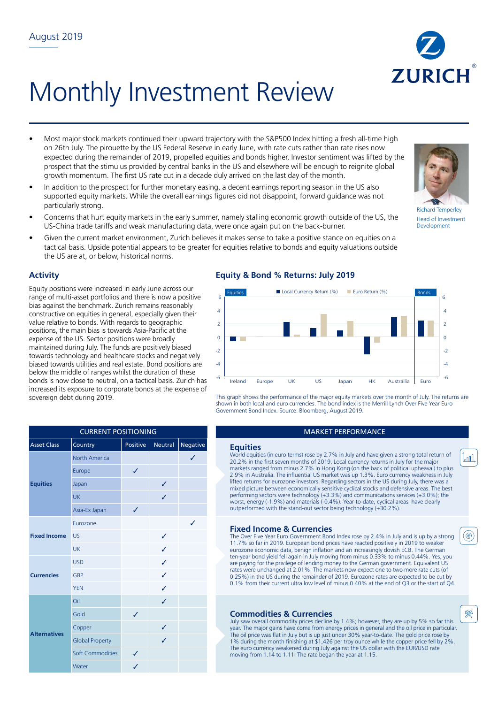# Monthly Investment Review

- Most major stock markets continued their upward trajectory with the S&P500 Index hitting a fresh all-time high on 26th July. The pirouette by the US Federal Reserve in early June, with rate cuts rather than rate rises now expected during the remainder of 2019, propelled equities and bonds higher. Investor sentiment was lifted by the prospect that the stimulus provided by central banks in the US and elsewhere will be enough to reignite global growth momentum. The first US rate cut in a decade duly arrived on the last day of the month.
- In addition to the prospect for further monetary easing, a decent earnings reporting season in the US also supported equity markets. While the overall earnings figures did not disappoint, forward guidance was not particularly strong.
- Concerns that hurt equity markets in the early summer, namely stalling economic growth outside of the US, the US-China trade tariffs and weak manufacturing data, were once again put on the back-burner.
- Given the current market environment, Zurich believes it makes sense to take a positive stance on equities on a tactical basis. Upside potential appears to be greater for equities relative to bonds and equity valuations outside the US are at, or below, historical norms.

# **Activity**

Equity positions were increased in early June across our range of multi-asset portfolios and there is now a positive bias against the benchmark. Zurich remains reasonably constructive on equities in general, especially given their value relative to bonds. With regards to geographic positions, the main bias is towards Asia-Pacific at the expense of the US. Sector positions were broadly maintained during July. The funds are positively biased towards technology and healthcare stocks and negatively biased towards utilities and real estate. Bond positions are below the middle of ranges whilst the duration of these bonds is now close to neutral, on a tactical basis. Zurich has increased its exposure to corporate bonds at the expense of sovereign debt during 2019.

# **Equity & Bond % Returns: July 2019**



This graph shows the performance of the major equity markets over the month of July. The returns are shown in both local and euro currencies. The bond index is the Merrill Lynch Over Five Year Euro Government Bond Index. Source: Bloomberg, August 2019.

### **MARKET PERFORMANCE**

World equities (in euro terms) rose by 2.7% in July and have given a strong total return of 20.2% in the first seven months of 2019. Local currency returns in July for the major markets ranged from minus 2.7% in Hong Kong (on the back of political upheaval) to plus 2.9% in Australia. The influential US market was up 1.3%. Euro currency weakness in July lifted returns for eurozone investors. Regarding sectors in the US during July, there was a mixed picture between economically sensitive cyclical stocks and defensive areas. The best performing sectors were technology (+3.3%) and communications services (+3.0%); the worst, energy (-1.9%) and materials (-0.4%). Year-to-date, cyclical areas have clearly outperformed with the stand-out sector being technology (+30.2%).

# **Fixed Income & Currencies**

The Over Five Year Euro Government Bond Index rose by 2.4% in July and is up by a strong 11.7% so far in 2019. European bond prices have reacted positively in 2019 to weaker eurozone economic data, benign inflation and an increasingly dovish ECB. The German ten-year bond yield fell again in July moving from minus 0.33% to minus 0.44%. Yes, you are paying for the privilege of lending money to the German government. Equivalent US rates were unchanged at 2.01%. The markets now expect one to two more rate cuts (of 0.25%) in the US during the remainder of 2019. Eurozone rates are expected to be cut by 0.1% from their current ultra low level of minus 0.40% at the end of Q3 or the start of Q4.

# **Commodities & Currencies**

July saw overall commodity prices decline by 1.4%; however, they are up by 5% so far this year. The major gains have come from energy prices in general and the oil price in particular. The oil price was flat in July but is up just under 30% year-to-date. The gold price rose by 1% during the month finishing at \$1,426 per troy ounce while the copper price fell by 2%. The euro currency weakened during July against the US dollar with the EUR/USD rate moving from 1.14 to 1.11. The rate began the year at 1.15.

| <b>Asset Class</b>  | Country                 | Positive | <b>Neutral</b> | Negative | <b>Equities</b>                |
|---------------------|-------------------------|----------|----------------|----------|--------------------------------|
| <b>Equities</b>     | <b>North America</b>    |          |                |          | World equiti<br>20.2% in the   |
|                     | Europe                  | ✓        |                |          | markets rand<br>2.9% in Aus    |
|                     | Japan                   |          | ✓              |          | lifted returns<br>mixed pictur |
|                     | <b>UK</b>               |          | ✓              |          | performing s<br>worst, energ   |
|                     | Asia-Ex Japan           | ✓        |                |          | outperforme                    |
| <b>Fixed Income</b> | Eurozone                |          |                | J        | <b>Fixed In</b>                |
|                     | <b>US</b>               |          | ✓              |          | The Over Fiv                   |
|                     | <b>UK</b>               |          | ✓              |          | 11.7% so fa<br>eurozone ec     |
| <b>Currencies</b>   | <b>USD</b>              |          | ✓              |          | ten-year bor<br>are paying fo  |
|                     | <b>GBP</b>              |          | ✓              |          | rates were u<br>0.25%) in th   |
|                     | <b>YEN</b>              |          | ✓              |          | 0.1% from t                    |
| <b>Alternatives</b> | Oil                     |          | ✓              |          |                                |
|                     | Gold                    | ✓        |                |          | <b>Commo</b>                   |
|                     | Copper                  |          | ✓              |          | July saw ove<br>year. The ma   |
|                     | <b>Global Property</b>  |          | ✓              |          | The oil price<br>1% during t   |
|                     | <b>Soft Commodities</b> | J        |                |          | The euro cur<br>moving from    |

Water









Development





癸

(@)

<u>lan l</u>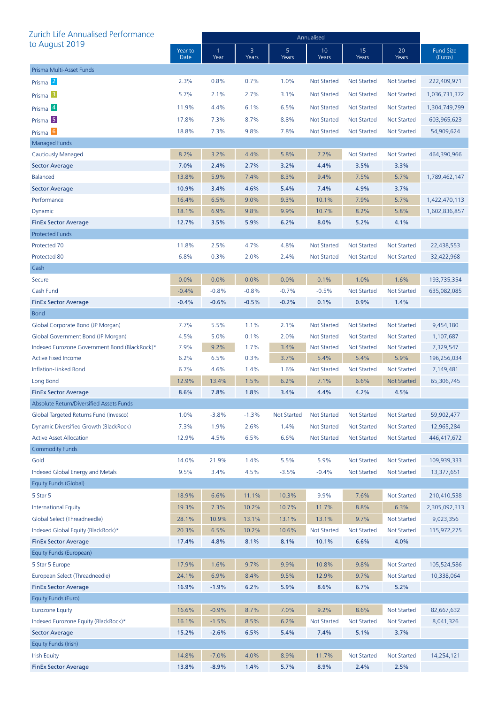| Zurich Life Annualised Performance            |                 | Annualised |            |                    |                    |                    |                    |                             |  |
|-----------------------------------------------|-----------------|------------|------------|--------------------|--------------------|--------------------|--------------------|-----------------------------|--|
| to August 2019                                | Year to<br>Date | Year       | 3<br>Years | 5<br>Years         | 10<br>Years        | 15<br>Years        | 20<br>Years        | <b>Fund Size</b><br>(Euros) |  |
| Prisma Multi-Asset Funds                      |                 |            |            |                    |                    |                    |                    |                             |  |
| Prisma <sup>2</sup>                           | 2.3%            | 0.8%       | 0.7%       | 1.0%               | <b>Not Started</b> | <b>Not Started</b> | <b>Not Started</b> | 222,409,971                 |  |
| Prisma <sup>3</sup>                           | 5.7%            | 2.1%       | 2.7%       | 3.1%               | <b>Not Started</b> | <b>Not Started</b> | Not Started        | 1,036,731,372               |  |
| Prisma 4                                      | 11.9%           | 4.4%       | 6.1%       | 6.5%               | <b>Not Started</b> | <b>Not Started</b> | <b>Not Started</b> | 1,304,749,799               |  |
| Prisma <sup>5</sup>                           | 17.8%           | 7.3%       | 8.7%       | 8.8%               | <b>Not Started</b> | <b>Not Started</b> | Not Started        | 603,965,623                 |  |
| Prisma <sup>6</sup>                           | 18.8%           | 7.3%       | 9.8%       | 7.8%               | <b>Not Started</b> | <b>Not Started</b> | Not Started        | 54,909,624                  |  |
| <b>Managed Funds</b>                          |                 |            |            |                    |                    |                    |                    |                             |  |
| Cautiously Managed                            | 8.2%            | 3.2%       | 4.4%       | 5.8%               | 7.2%               | <b>Not Started</b> | <b>Not Started</b> | 464,390,966                 |  |
| <b>Sector Average</b>                         | 7.0%            | 2.4%       | 2.7%       | 3.2%               | 4.4%               | 3.5%               | 3.3%               |                             |  |
| <b>Balanced</b>                               | 13.8%           | 5.9%       | 7.4%       | 8.3%               | 9.4%               | 7.5%               | 5.7%               | 1,789,462,147               |  |
| <b>Sector Average</b>                         | 10.9%           | 3.4%       | 4.6%       | 5.4%               | 7.4%               | 4.9%               | 3.7%               |                             |  |
| Performance                                   | 16.4%           | 6.5%       | $9.0\%$    | 9.3%               | 10.1%              | 7.9%               | 5.7%               | 1,422,470,113               |  |
| Dynamic                                       | 18.1%           | 6.9%       | 9.8%       | 9.9%               | 10.7%              | 8.2%               | 5.8%               | 1,602,836,857               |  |
| <b>FinEx Sector Average</b>                   | 12.7%           | 3.5%       | 5.9%       | 6.2%               | 8.0%               | 5.2%               | 4.1%               |                             |  |
| <b>Protected Funds</b>                        |                 |            |            |                    |                    |                    |                    |                             |  |
| Protected 70                                  | 11.8%           | 2.5%       | 4.7%       | 4.8%               | <b>Not Started</b> | <b>Not Started</b> | <b>Not Started</b> | 22,438,553                  |  |
| Protected 80                                  | 6.8%            | 0.3%       | 2.0%       | 2.4%               | <b>Not Started</b> | <b>Not Started</b> | <b>Not Started</b> | 32,422,968                  |  |
| Cash                                          |                 |            |            |                    |                    |                    |                    |                             |  |
| Secure                                        | 0.0%            | 0.0%       | 0.0%       | 0.0%               | 0.1%               | 1.0%               | 1.6%               | 193,735,354                 |  |
| Cash Fund                                     | $-0.4%$         | $-0.8%$    | $-0.8%$    | $-0.7%$            | $-0.5%$            | <b>Not Started</b> | <b>Not Started</b> | 635,082,085                 |  |
| <b>FinEx Sector Average</b>                   | $-0.4%$         | $-0.6%$    | $-0.5%$    | $-0.2%$            | 0.1%               | 0.9%               | 1.4%               |                             |  |
| <b>Bond</b>                                   |                 |            |            |                    |                    |                    |                    |                             |  |
| Global Corporate Bond (JP Morgan)             | 7.7%            | 5.5%       | 1.1%       | 2.1%               | <b>Not Started</b> | <b>Not Started</b> | <b>Not Started</b> | 9,454,180                   |  |
| Global Government Bond (JP Morgan)            | 4.5%            | 5.0%       | 0.1%       | 2.0%               | <b>Not Started</b> | <b>Not Started</b> | Not Started        | 1,107,687                   |  |
| Indexed Eurozone Government Bond (BlackRock)* | 7.9%            | 9.2%       | 1.7%       | 3.4%               | <b>Not Started</b> | <b>Not Started</b> | <b>Not Started</b> | 7,329,547                   |  |
| <b>Active Fixed Income</b>                    | 6.2%            | 6.5%       | 0.3%       | 3.7%               | 5.4%               | 5.4%               | 5.9%               | 196,256,034                 |  |
| Inflation-Linked Bond                         | 6.7%            | 4.6%       | 1.4%       | 1.6%               | Not Started        | <b>Not Started</b> | <b>Not Started</b> | 7,149,481                   |  |
| Long Bond                                     | 12.9%           | 13.4%      | 1.5%       | 6.2%               | 7.1%               | 6.6%               | <b>Not Started</b> | 65,306,745                  |  |
| <b>FinEx Sector Average</b>                   | 8.6%            | 7.8%       | 1.8%       | 3.4%               | 4.4%               | 4.2%               | 4.5%               |                             |  |
| Absolute Return/Diversified Assets Funds      |                 |            |            |                    |                    |                    |                    |                             |  |
| Global Targeted Returns Fund (Invesco)        | 1.0%            | $-3.8%$    | $-1.3%$    | <b>Not Started</b> | <b>Not Started</b> | <b>Not Started</b> | <b>Not Started</b> | 59,902,477                  |  |
| Dynamic Diversified Growth (BlackRock)        | 7.3%            | 1.9%       | 2.6%       | 1.4%               | <b>Not Started</b> | <b>Not Started</b> | <b>Not Started</b> | 12,965,284                  |  |
| <b>Active Asset Allocation</b>                | 12.9%           | 4.5%       | 6.5%       | 6.6%               | <b>Not Started</b> | <b>Not Started</b> | <b>Not Started</b> | 446,417,672                 |  |
| <b>Commodity Funds</b>                        |                 |            |            |                    |                    |                    |                    |                             |  |
| Gold                                          | 14.0%           | 21.9%      | 1.4%       | 5.5%               | 5.9%               | Not Started        | <b>Not Started</b> | 109,939,333                 |  |
| Indexed Global Energy and Metals              | 9.5%            | 3.4%       | 4.5%       | $-3.5%$            | $-0.4%$            | <b>Not Started</b> | <b>Not Started</b> | 13,377,651                  |  |
| Equity Funds (Global)                         |                 |            |            |                    |                    |                    |                    |                             |  |
| 5 Star 5                                      | 18.9%           | 6.6%       | 11.1%      | 10.3%              | 9.9%               | 7.6%               | <b>Not Started</b> | 210,410,538                 |  |
| <b>International Equity</b>                   | 19.3%           | 7.3%       | 10.2%      | 10.7%              | 11.7%              | 8.8%               | 6.3%               | 2,305,092,313               |  |
| Global Select (Threadneedle)                  | 28.1%           | 10.9%      | 13.1%      | 13.1%              | 13.1%              | 9.7%               | Not Started        | 9,023,356                   |  |
| Indexed Global Equity (BlackRock)*            | 20.3%           | 6.5%       | 10.2%      | 10.6%              | <b>Not Started</b> | <b>Not Started</b> | <b>Not Started</b> | 115,972,275                 |  |
| <b>FinEx Sector Average</b>                   | 17.4%           | 4.8%       | 8.1%       | 8.1%               | 10.1%              | 6.6%               | 4.0%               |                             |  |
| Equity Funds (European)                       |                 |            |            |                    |                    |                    |                    |                             |  |
| 5 Star 5 Europe                               | 17.9%           | 1.6%       | 9.7%       | 9.9%               | 10.8%              | 9.8%               | <b>Not Started</b> | 105,524,586                 |  |
| European Select (Threadneedle)                | 24.1%           | 6.9%       | 8.4%       | 9.5%               | 12.9%              | 9.7%               | <b>Not Started</b> | 10,338,064                  |  |
| <b>FinEx Sector Average</b>                   | 16.9%           | $-1.9%$    | 6.2%       | 5.9%               | 8.6%               | 6.7%               | 5.2%               |                             |  |
| Equity Funds (Euro)                           |                 |            |            |                    |                    |                    |                    |                             |  |
| <b>Eurozone Equity</b>                        | 16.6%           | $-0.9%$    | 8.7%       | 7.0%               | 9.2%               | 8.6%               | <b>Not Started</b> | 82,667,632                  |  |
| Indexed Eurozone Equity (BlackRock)*          | 16.1%           | $-1.5%$    | 8.5%       | 6.2%               | <b>Not Started</b> | <b>Not Started</b> | <b>Not Started</b> | 8,041,326                   |  |
| <b>Sector Average</b>                         | 15.2%           | $-2.6%$    | 6.5%       | 5.4%               | 7.4%               | 5.1%               | 3.7%               |                             |  |
| Equity Funds (Irish)                          |                 |            |            |                    |                    |                    |                    |                             |  |
| <b>Irish Equity</b>                           | 14.8%           | $-7.0%$    | 4.0%       | 8.9%               | 11.7%              | <b>Not Started</b> | <b>Not Started</b> | 14,254,121                  |  |
| <b>FinEx Sector Average</b>                   | 13.8%           | $-8.9%$    | 1.4%       | 5.7%               | 8.9%               | 2.4%               | 2.5%               |                             |  |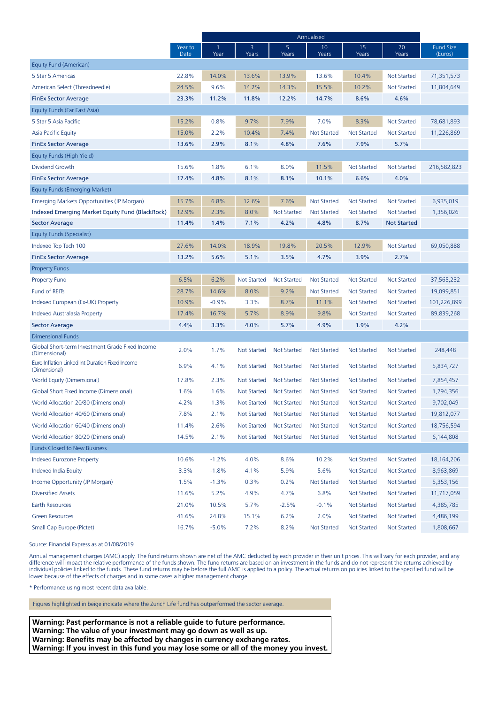|                                                                  |                 | Annualised |                    |                    |                    |                    |                    |                             |
|------------------------------------------------------------------|-----------------|------------|--------------------|--------------------|--------------------|--------------------|--------------------|-----------------------------|
|                                                                  | Year to<br>Date | 1<br>Year  | 3<br>Years         | 5<br>Years         | 10<br>Years        | 15<br>Years        | 20<br>Years        | <b>Fund Size</b><br>(Euros) |
| Equity Fund (American)                                           |                 |            |                    |                    |                    |                    |                    |                             |
| 5 Star 5 Americas                                                | 22.8%           | 14.0%      | 13.6%              | 13.9%              | 13.6%              | 10.4%              | <b>Not Started</b> | 71,351,573                  |
| American Select (Threadneedle)                                   | 24.5%           | 9.6%       | 14.2%              | 14.3%              | 15.5%              | 10.2%              | Not Started        | 11,804,649                  |
| <b>FinEx Sector Average</b>                                      | 23.3%           | 11.2%      | 11.8%              | 12.2%              | 14.7%              | 8.6%               | 4.6%               |                             |
| Equity Funds (Far East Asia)                                     |                 |            |                    |                    |                    |                    |                    |                             |
| 5 Star 5 Asia Pacific                                            | 15.2%           | 0.8%       | 9.7%               | 7.9%               | 7.0%               | 8.3%               | <b>Not Started</b> | 78,681,893                  |
| Asia Pacific Equity                                              | 15.0%           | 2.2%       | 10.4%              | 7.4%               | <b>Not Started</b> | <b>Not Started</b> | Not Started        | 11,226,869                  |
| <b>FinEx Sector Average</b>                                      | 13.6%           | 2.9%       | 8.1%               | 4.8%               | 7.6%               | 7.9%               | 5.7%               |                             |
| Equity Funds (High Yield)                                        |                 |            |                    |                    |                    |                    |                    |                             |
| Dividend Growth                                                  | 15.6%           | 1.8%       | 6.1%               | 8.0%               | 11.5%              | <b>Not Started</b> | <b>Not Started</b> | 216,582,823                 |
| <b>FinEx Sector Average</b>                                      | 17.4%           | 4.8%       | 8.1%               | 8.1%               | 10.1%              | 6.6%               | 4.0%               |                             |
| Equity Funds (Emerging Market)                                   |                 |            |                    |                    |                    |                    |                    |                             |
| Emerging Markets Opportunities (JP Morgan)                       | 15.7%           | 6.8%       | 12.6%              | 7.6%               | <b>Not Started</b> | <b>Not Started</b> | Not Started        | 6,935,019                   |
| <b>Indexed Emerging Market Equity Fund (BlackRock)</b>           | 12.9%           | 2.3%       | 8.0%               | <b>Not Started</b> | <b>Not Started</b> | <b>Not Started</b> | Not Started        | 1,356,026                   |
| Sector Average                                                   | 11.4%           | 1.4%       | 7.1%               | 4.2%               | 4.8%               | 8.7%               | <b>Not Started</b> |                             |
| Equity Funds (Specialist)                                        |                 |            |                    |                    |                    |                    |                    |                             |
| Indexed Top Tech 100                                             | 27.6%           | 14.0%      | 18.9%              | 19.8%              | 20.5%              | 12.9%              | <b>Not Started</b> | 69,050,888                  |
| <b>FinEx Sector Average</b>                                      | 13.2%           | 5.6%       | 5.1%               | 3.5%               | 4.7%               | 3.9%               | 2.7%               |                             |
| <b>Property Funds</b>                                            |                 |            |                    |                    |                    |                    |                    |                             |
| <b>Property Fund</b>                                             | 6.5%            | 6.2%       | <b>Not Started</b> | <b>Not Started</b> | <b>Not Started</b> | <b>Not Started</b> | Not Started        | 37,565,232                  |
| Fund of REITs                                                    | 28.7%           | 14.6%      | 8.0%               | 9.2%               | <b>Not Started</b> | <b>Not Started</b> | Not Started        | 19,099,851                  |
| Indexed European (Ex-UK) Property                                | 10.9%           | $-0.9%$    | 3.3%               | 8.7%               | 11.1%              | <b>Not Started</b> | Not Started        | 101,226,899                 |
| Indexed Australasia Property                                     | 17.4%           | 16.7%      | 5.7%               | 8.9%               | 9.8%               | <b>Not Started</b> | Not Started        | 89,839,268                  |
| <b>Sector Average</b>                                            | 4.4%            | 3.3%       | 4.0%               | 5.7%               | 4.9%               | 1.9%               | 4.2%               |                             |
| <b>Dimensional Funds</b>                                         |                 |            |                    |                    |                    |                    |                    |                             |
| Global Short-term Investment Grade Fixed Income<br>(Dimensional) | 2.0%            | 1.7%       | <b>Not Started</b> | <b>Not Started</b> | <b>Not Started</b> | <b>Not Started</b> | Not Started        | 248,448                     |
| Euro Inflation Linked Int Duration Fixed Income<br>(Dimensional) | 6.9%            | 4.1%       | <b>Not Started</b> | <b>Not Started</b> | <b>Not Started</b> | <b>Not Started</b> | Not Started        | 5,834,727                   |
| World Equity (Dimensional)                                       | 17.8%           | 2.3%       | <b>Not Started</b> | <b>Not Started</b> | <b>Not Started</b> | <b>Not Started</b> | Not Started        | 7,854,457                   |
| Global Short Fixed Income (Dimensional)                          | 1.6%            | 1.6%       | <b>Not Started</b> | <b>Not Started</b> | <b>Not Started</b> | <b>Not Started</b> | Not Started        | 1,294,356                   |
| World Allocation 20/80 (Dimensional)                             | 4.2%            | 1.3%       | <b>Not Started</b> | <b>Not Started</b> | <b>Not Started</b> | <b>Not Started</b> | Not Started        | 9,702,049                   |
| World Allocation 40/60 (Dimensional)                             | 7.8%            | 2.1%       | Not Started        | Not Started        | Not Started        | Not Started        | Not Started        | 19,812,077                  |
| World Allocation 60/40 (Dimensional)                             | 11.4%           | 2.6%       | <b>Not Started</b> | <b>Not Started</b> | <b>Not Started</b> | <b>Not Started</b> | <b>Not Started</b> | 18,756,594                  |
| World Allocation 80/20 (Dimensional)                             | 14.5%           | 2.1%       | <b>Not Started</b> | <b>Not Started</b> | <b>Not Started</b> | Not Started        | Not Started        | 6,144,808                   |
| <b>Funds Closed to New Business</b>                              |                 |            |                    |                    |                    |                    |                    |                             |
| Indexed Eurozone Property                                        | 10.6%           | $-1.2%$    | 4.0%               | 8.6%               | 10.2%              | <b>Not Started</b> | <b>Not Started</b> | 18,164,206                  |
| Indexed India Equity                                             | 3.3%            | $-1.8%$    | 4.1%               | 5.9%               | 5.6%               | <b>Not Started</b> | <b>Not Started</b> | 8,963,869                   |
| Income Opportunity (JP Morgan)                                   | 1.5%            | $-1.3%$    | 0.3%               | 0.2%               | Not Started        | <b>Not Started</b> | Not Started        | 5,353,156                   |
| <b>Diversified Assets</b>                                        | 11.6%           | 5.2%       | 4.9%               | 4.7%               | 6.8%               | <b>Not Started</b> | Not Started        | 11,717,059                  |
| <b>Earth Resources</b>                                           | 21.0%           | 10.5%      | 5.7%               | $-2.5%$            | $-0.1%$            | Not Started        | Not Started        | 4,385,785                   |
| <b>Green Resources</b>                                           | 41.6%           | 24.8%      | 15.1%              | 6.2%               | 2.0%               | <b>Not Started</b> | <b>Not Started</b> | 4,486,199                   |
| Small Cap Europe (Pictet)                                        | 16.7%           | $-5.0%$    | 7.2%               | 8.2%               | <b>Not Started</b> | <b>Not Started</b> | <b>Not Started</b> | 1,808,667                   |

Source: Financial Express as at 01/08/2019

Annual management charges (AMC) apply. The fund returns shown are net of the AMC deducted by each provider in their unit prices. This will vary for each provider, and any difference will impact the relative performance of the funds shown. The fund returns are based on an investment in the funds and do not represent the returns achieved by individual policies linked to the funds. These fund returns may be before the full AMC is applied to a policy. The actual returns on policies linked to the specified fund will be lower because of the effects of charges and in some cases a higher management charge.

\* Performance using most recent data available.

Figures highlighted in beige indicate where the Zurich Life fund has outperformed the sector average.

**Warning: Past performance is not a reliable guide to future performance. Warning: The value of your investment may go down as well as up. Warning: Benefits may be affected by changes in currency exchange rates. Warning: If you invest in this fund you may lose some or all of the money you invest.**